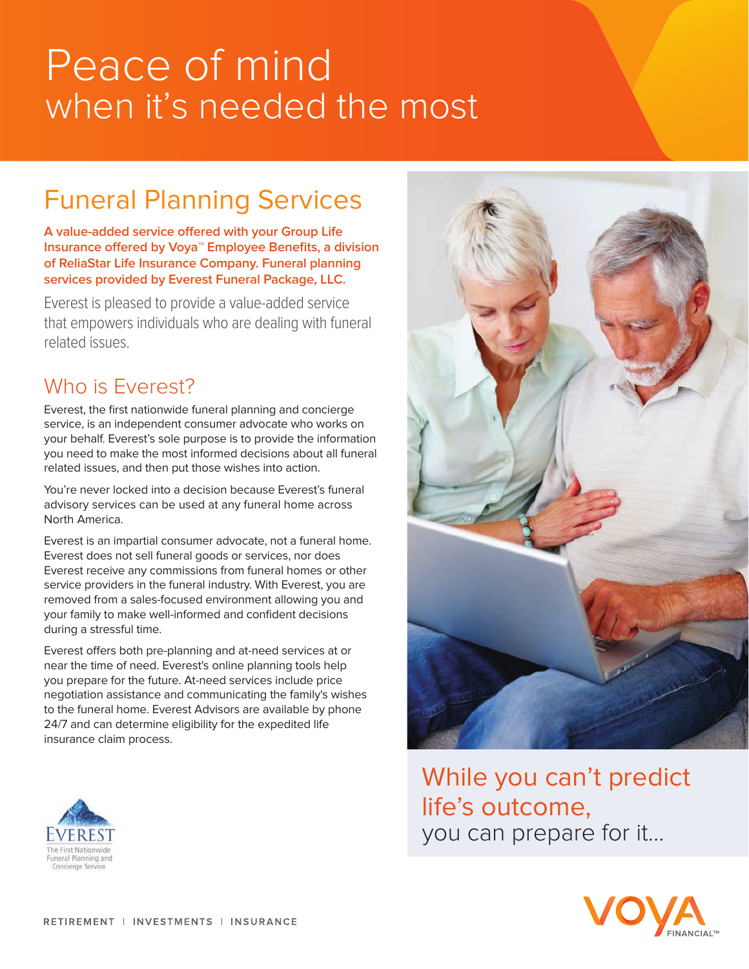# Peace of mind when it's needed the most

## Funeral Planning Services

**A value-added service offered with your Group Life Insurance offered by Voya**™ **Employee Benefits, a division of ReliaStar Life Insurance Company. Funeral planning services provided by Everest Funeral Package, LLC.**

Everest is pleased to provide a value-added service that empowers individuals who are dealing with funeral related issues.

## Who is Everest?

Everest, the first nationwide funeral planning and concierge service, is an independent consumer advocate who works on your behalf. Everest's sole purpose is to provide the information you need to make the most informed decisions about all funeral related issues, and then put those wishes into action.

You're never locked into a decision because Everest's funeral advisory services can be used at any funeral home across North America.

Everest is an impartial consumer advocate, not a funeral home. Everest does not sell funeral goods or services, nor does Everest receive any commissions from funeral homes or other service providers in the funeral industry. With Everest, you are removed from a sales-focused environment allowing you and your family to make well-informed and confident decisions during a stressful time.

Everest offers both pre-planning and at-need services at or near the time of need. Everest's online planning tools help you prepare for the future. At-need services include price negotiation assistance and communicating the family's wishes to the funeral home. Everest Advisors are available by phone 24/7 and can determine eligibility for the expedited life insurance claim process.





While you can't predict life's outcome, you can prepare for it...